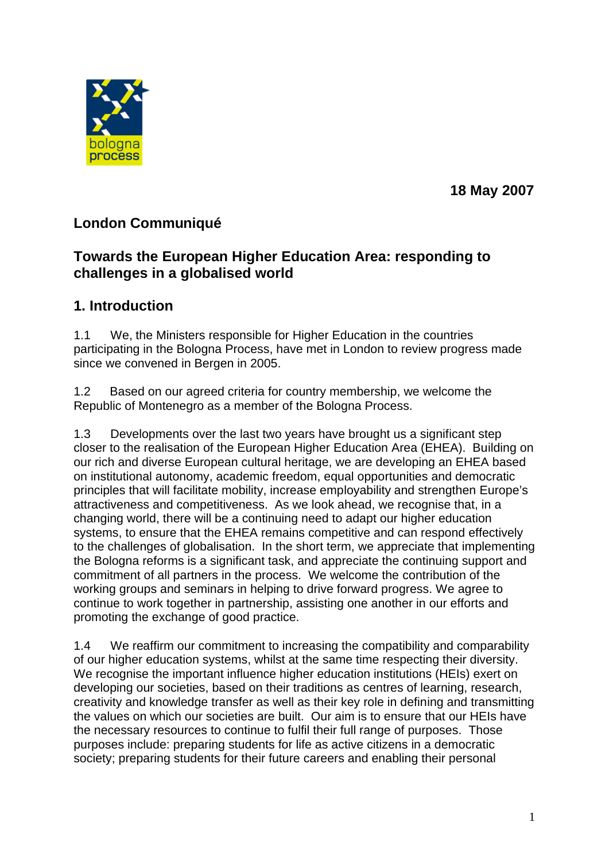

**18 May 2007**

# **London Communiqué**

## **Towards the European Higher Education Area: responding to challenges in a globalised world**

## **1. Introduction**

1.1 We, the Ministers responsible for Higher Education in the countries participating in the Bologna Process, have met in London to review progress made since we convened in Bergen in 2005.

1.2 Based on our agreed criteria for country membership, we welcome the Republic of Montenegro as a member of the Bologna Process.

1.3 Developments over the last two years have brought us a significant step closer to the realisation of the European Higher Education Area (EHEA). Building on our rich and diverse European cultural heritage, we are developing an EHEA based on institutional autonomy, academic freedom, equal opportunities and democratic principles that will facilitate mobility, increase employability and strengthen Europe's attractiveness and competitiveness. As we look ahead, we recognise that, in a changing world, there will be a continuing need to adapt our higher education systems, to ensure that the EHEA remains competitive and can respond effectively to the challenges of globalisation. In the short term, we appreciate that implementing the Bologna reforms is a significant task, and appreciate the continuing support and commitment of all partners in the process. We welcome the contribution of the working groups and seminars in helping to drive forward progress. We agree to continue to work together in partnership, assisting one another in our efforts and promoting the exchange of good practice.

1.4 We reaffirm our commitment to increasing the compatibility and comparability of our higher education systems, whilst at the same time respecting their diversity. We recognise the important influence higher education institutions (HEIs) exert on developing our societies, based on their traditions as centres of learning, research, creativity and knowledge transfer as well as their key role in defining and transmitting the values on which our societies are built. Our aim is to ensure that our HEIs have the necessary resources to continue to fulfil their full range of purposes. Those purposes include: preparing students for life as active citizens in a democratic society; preparing students for their future careers and enabling their personal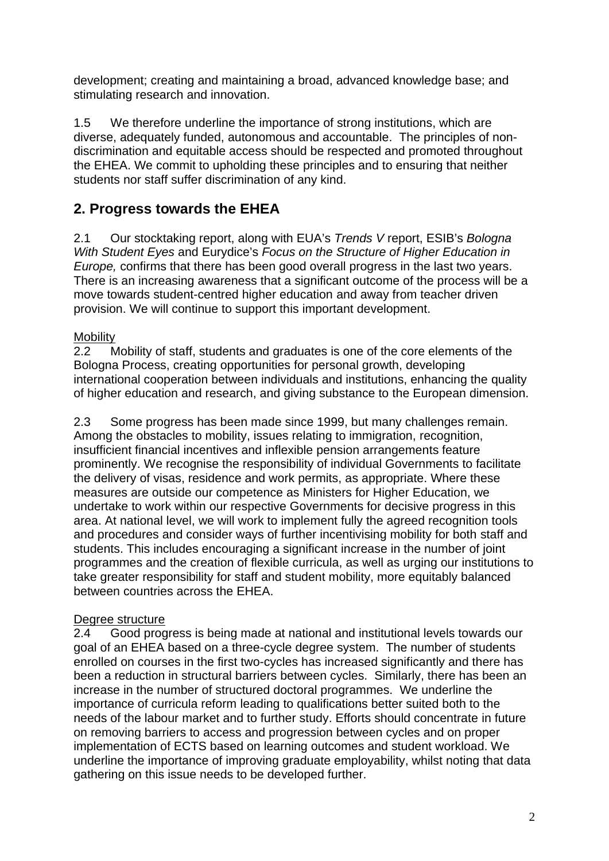development; creating and maintaining a broad, advanced knowledge base; and stimulating research and innovation.

1.5 We therefore underline the importance of strong institutions, which are diverse, adequately funded, autonomous and accountable. The principles of nondiscrimination and equitable access should be respected and promoted throughout the EHEA. We commit to upholding these principles and to ensuring that neither students nor staff suffer discrimination of any kind.

# **2. Progress towards the EHEA**

2.1 Our stocktaking report, along with EUA's *Trends V* report, ESIB's *Bologna With Student Eyes* and Eurydice's *Focus on the Structure of Higher Education in Europe,* confirms that there has been good overall progress in the last two years. There is an increasing awareness that a significant outcome of the process will be a move towards student-centred higher education and away from teacher driven provision. We will continue to support this important development.

### **Mobility**

2.2 Mobility of staff, students and graduates is one of the core elements of the Bologna Process, creating opportunities for personal growth, developing international cooperation between individuals and institutions, enhancing the quality of higher education and research, and giving substance to the European dimension.

2.3 Some progress has been made since 1999, but many challenges remain. Among the obstacles to mobility, issues relating to immigration, recognition, insufficient financial incentives and inflexible pension arrangements feature prominently. We recognise the responsibility of individual Governments to facilitate the delivery of visas, residence and work permits, as appropriate. Where these measures are outside our competence as Ministers for Higher Education, we undertake to work within our respective Governments for decisive progress in this area. At national level, we will work to implement fully the agreed recognition tools and procedures and consider ways of further incentivising mobility for both staff and students. This includes encouraging a significant increase in the number of joint programmes and the creation of flexible curricula, as well as urging our institutions to take greater responsibility for staff and student mobility, more equitably balanced between countries across the EHEA.

#### Degree structure

2.4 Good progress is being made at national and institutional levels towards our goal of an EHEA based on a three-cycle degree system. The number of students enrolled on courses in the first two-cycles has increased significantly and there has been a reduction in structural barriers between cycles. Similarly, there has been an increase in the number of structured doctoral programmes. We underline the importance of curricula reform leading to qualifications better suited both to the needs of the labour market and to further study. Efforts should concentrate in future on removing barriers to access and progression between cycles and on proper implementation of ECTS based on learning outcomes and student workload. We underline the importance of improving graduate employability, whilst noting that data gathering on this issue needs to be developed further.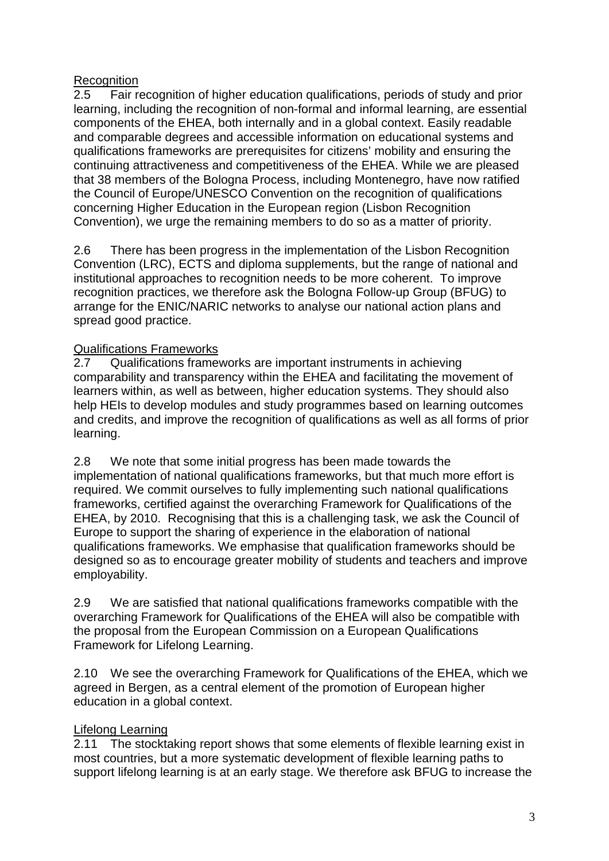### **Recognition**

2.5 Fair recognition of higher education qualifications, periods of study and prior learning, including the recognition of non-formal and informal learning, are essential components of the EHEA, both internally and in a global context. Easily readable and comparable degrees and accessible information on educational systems and qualifications frameworks are prerequisites for citizens' mobility and ensuring the continuing attractiveness and competitiveness of the EHEA. While we are pleased that 38 members of the Bologna Process, including Montenegro, have now ratified the Council of Europe/UNESCO Convention on the recognition of qualifications concerning Higher Education in the European region (Lisbon Recognition Convention), we urge the remaining members to do so as a matter of priority.

2.6 There has been progress in the implementation of the Lisbon Recognition Convention (LRC), ECTS and diploma supplements, but the range of national and institutional approaches to recognition needs to be more coherent. To improve recognition practices, we therefore ask the Bologna Follow-up Group (BFUG) to arrange for the ENIC/NARIC networks to analyse our national action plans and spread good practice.

### Qualifications Frameworks

2.7 Qualifications frameworks are important instruments in achieving comparability and transparency within the EHEA and facilitating the movement of learners within, as well as between, higher education systems. They should also help HEIs to develop modules and study programmes based on learning outcomes and credits, and improve the recognition of qualifications as well as all forms of prior learning.

2.8 We note that some initial progress has been made towards the implementation of national qualifications frameworks, but that much more effort is required. We commit ourselves to fully implementing such national qualifications frameworks, certified against the overarching Framework for Qualifications of the EHEA, by 2010. Recognising that this is a challenging task, we ask the Council of Europe to support the sharing of experience in the elaboration of national qualifications frameworks. We emphasise that qualification frameworks should be designed so as to encourage greater mobility of students and teachers and improve employability.

2.9 We are satisfied that national qualifications frameworks compatible with the overarching Framework for Qualifications of the EHEA will also be compatible with the proposal from the European Commission on a European Qualifications Framework for Lifelong Learning.

2.10 We see the overarching Framework for Qualifications of the EHEA, which we agreed in Bergen, as a central element of the promotion of European higher education in a global context.

## Lifelong Learning

2.11 The stocktaking report shows that some elements of flexible learning exist in most countries, but a more systematic development of flexible learning paths to support lifelong learning is at an early stage. We therefore ask BFUG to increase the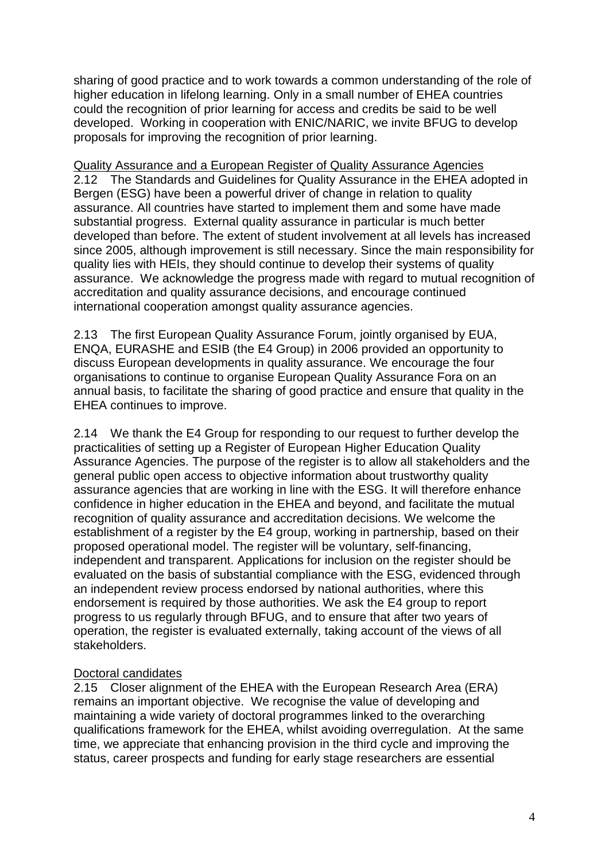sharing of good practice and to work towards a common understanding of the role of higher education in lifelong learning. Only in a small number of EHEA countries could the recognition of prior learning for access and credits be said to be well developed. Working in cooperation with ENIC/NARIC, we invite BFUG to develop proposals for improving the recognition of prior learning.

Quality Assurance and a European Register of Quality Assurance Agencies 2.12 The Standards and Guidelines for Quality Assurance in the EHEA adopted in Bergen (ESG) have been a powerful driver of change in relation to quality assurance. All countries have started to implement them and some have made substantial progress. External quality assurance in particular is much better developed than before. The extent of student involvement at all levels has increased since 2005, although improvement is still necessary. Since the main responsibility for quality lies with HEIs, they should continue to develop their systems of quality assurance. We acknowledge the progress made with regard to mutual recognition of accreditation and quality assurance decisions, and encourage continued international cooperation amongst quality assurance agencies.

2.13 The first European Quality Assurance Forum, jointly organised by EUA, ENQA, EURASHE and ESIB (the E4 Group) in 2006 provided an opportunity to discuss European developments in quality assurance. We encourage the four organisations to continue to organise European Quality Assurance Fora on an annual basis, to facilitate the sharing of good practice and ensure that quality in the EHEA continues to improve.

2.14 We thank the E4 Group for responding to our request to further develop the practicalities of setting up a Register of European Higher Education Quality Assurance Agencies. The purpose of the register is to allow all stakeholders and the general public open access to objective information about trustworthy quality assurance agencies that are working in line with the ESG. It will therefore enhance confidence in higher education in the EHEA and beyond, and facilitate the mutual recognition of quality assurance and accreditation decisions. We welcome the establishment of a register by the E4 group, working in partnership, based on their proposed operational model. The register will be voluntary, self-financing, independent and transparent. Applications for inclusion on the register should be evaluated on the basis of substantial compliance with the ESG, evidenced through an independent review process endorsed by national authorities, where this endorsement is required by those authorities. We ask the E4 group to report progress to us regularly through BFUG, and to ensure that after two years of operation, the register is evaluated externally, taking account of the views of all stakeholders.

#### Doctoral candidates

2.15 Closer alignment of the EHEA with the European Research Area (ERA) remains an important objective. We recognise the value of developing and maintaining a wide variety of doctoral programmes linked to the overarching qualifications framework for the EHEA, whilst avoiding overregulation. At the same time, we appreciate that enhancing provision in the third cycle and improving the status, career prospects and funding for early stage researchers are essential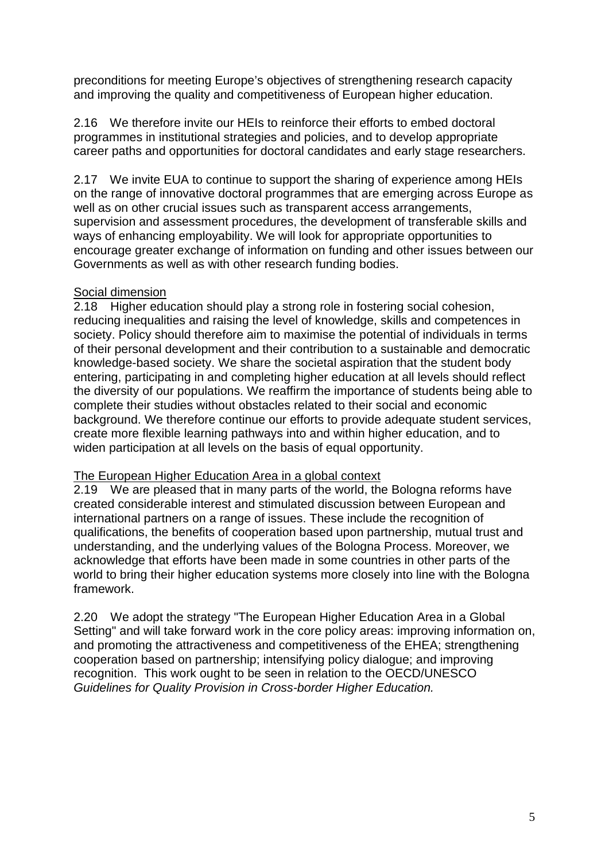preconditions for meeting Europe's objectives of strengthening research capacity and improving the quality and competitiveness of European higher education.

2.16 We therefore invite our HEIs to reinforce their efforts to embed doctoral programmes in institutional strategies and policies, and to develop appropriate career paths and opportunities for doctoral candidates and early stage researchers.

2.17 We invite EUA to continue to support the sharing of experience among HEIs on the range of innovative doctoral programmes that are emerging across Europe as well as on other crucial issues such as transparent access arrangements, supervision and assessment procedures, the development of transferable skills and ways of enhancing employability. We will look for appropriate opportunities to encourage greater exchange of information on funding and other issues between our Governments as well as with other research funding bodies.

#### Social dimension

2.18 Higher education should play a strong role in fostering social cohesion, reducing inequalities and raising the level of knowledge, skills and competences in society. Policy should therefore aim to maximise the potential of individuals in terms of their personal development and their contribution to a sustainable and democratic knowledge-based society. We share the societal aspiration that the student body entering, participating in and completing higher education at all levels should reflect the diversity of our populations. We reaffirm the importance of students being able to complete their studies without obstacles related to their social and economic background. We therefore continue our efforts to provide adequate student services, create more flexible learning pathways into and within higher education, and to widen participation at all levels on the basis of equal opportunity.

#### The European Higher Education Area in a global context

2.19 We are pleased that in many parts of the world, the Bologna reforms have created considerable interest and stimulated discussion between European and international partners on a range of issues. These include the recognition of qualifications, the benefits of cooperation based upon partnership, mutual trust and understanding, and the underlying values of the Bologna Process. Moreover, we acknowledge that efforts have been made in some countries in other parts of the world to bring their higher education systems more closely into line with the Bologna framework.

2.20 We adopt the strategy "The European Higher Education Area in a Global Setting" and will take forward work in the core policy areas: improving information on, and promoting the attractiveness and competitiveness of the EHEA; strengthening cooperation based on partnership; intensifying policy dialogue; and improving recognition. This work ought to be seen in relation to the OECD/UNESCO *Guidelines for Quality Provision in Cross-border Higher Education.*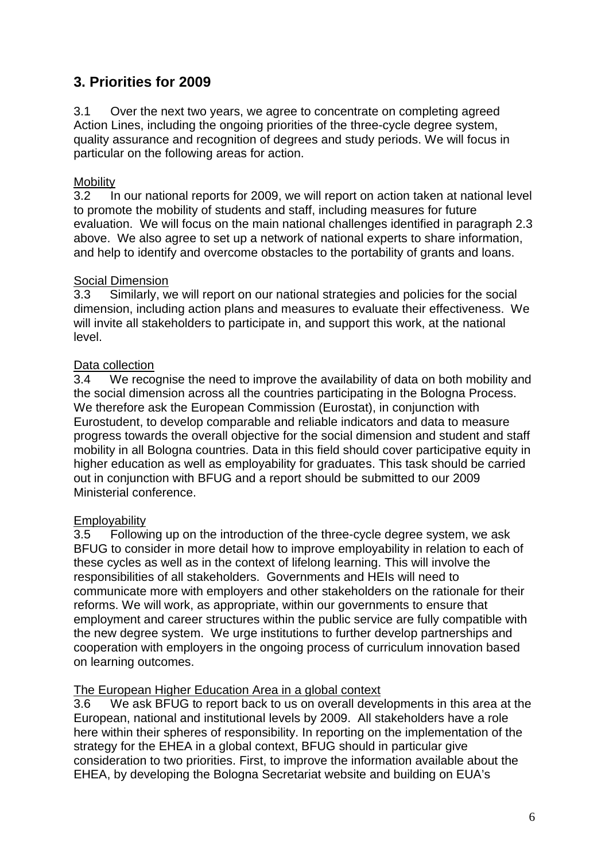## **3. Priorities for 2009**

3.1 Over the next two years, we agree to concentrate on completing agreed Action Lines, including the ongoing priorities of the three-cycle degree system, quality assurance and recognition of degrees and study periods. We will focus in particular on the following areas for action.

#### **Mobility**

3.2 In our national reports for 2009, we will report on action taken at national level to promote the mobility of students and staff, including measures for future evaluation. We will focus on the main national challenges identified in paragraph 2.3 above. We also agree to set up a network of national experts to share information, and help to identify and overcome obstacles to the portability of grants and loans.

#### **Social Dimension**

3.3 Similarly, we will report on our national strategies and policies for the social dimension, including action plans and measures to evaluate their effectiveness. We will invite all stakeholders to participate in, and support this work, at the national level.

#### Data collection

3.4 We recognise the need to improve the availability of data on both mobility and the social dimension across all the countries participating in the Bologna Process. We therefore ask the European Commission (Eurostat), in conjunction with Eurostudent, to develop comparable and reliable indicators and data to measure progress towards the overall objective for the social dimension and student and staff mobility in all Bologna countries. Data in this field should cover participative equity in higher education as well as employability for graduates. This task should be carried out in conjunction with BFUG and a report should be submitted to our 2009 Ministerial conference.

#### **Employability**

3.5 Following up on the introduction of the three-cycle degree system, we ask BFUG to consider in more detail how to improve employability in relation to each of these cycles as well as in the context of lifelong learning. This will involve the responsibilities of all stakeholders. Governments and HEIs will need to communicate more with employers and other stakeholders on the rationale for their reforms. We will work, as appropriate, within our governments to ensure that employment and career structures within the public service are fully compatible with the new degree system. We urge institutions to further develop partnerships and cooperation with employers in the ongoing process of curriculum innovation based on learning outcomes.

#### The European Higher Education Area in a global context

3.6 We ask BFUG to report back to us on overall developments in this area at the European, national and institutional levels by 2009. All stakeholders have a role here within their spheres of responsibility. In reporting on the implementation of the strategy for the EHEA in a global context, BFUG should in particular give consideration to two priorities. First, to improve the information available about the EHEA, by developing the Bologna Secretariat website and building on EUA's